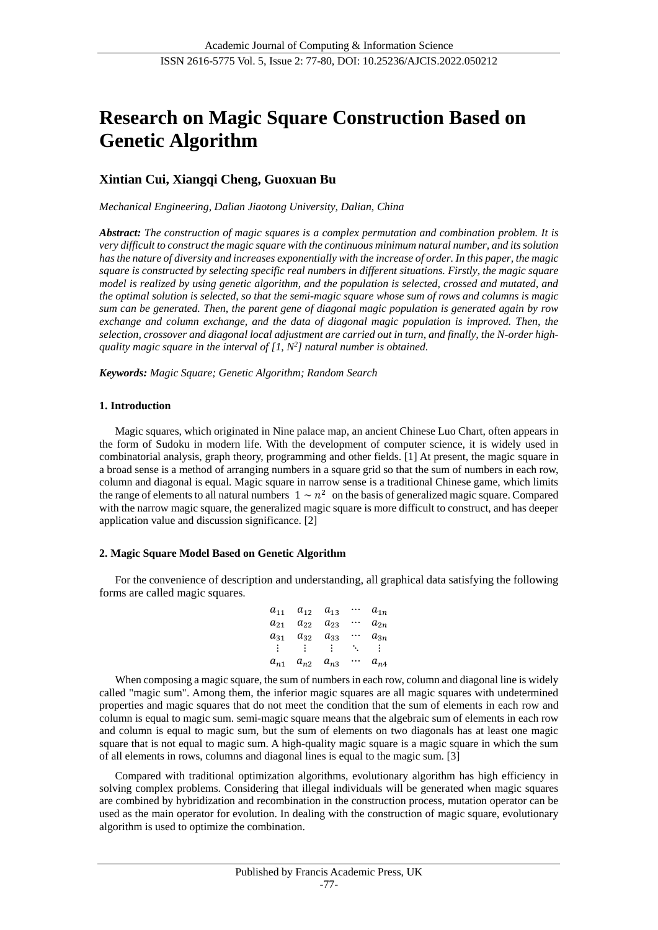# **Research on Magic Square Construction Based on Genetic Algorithm**

# **Xintian Cui, Xiangqi Cheng, Guoxuan Bu**

*Mechanical Engineering, Dalian Jiaotong University, Dalian, China*

*Abstract: The construction of magic squares is a complex permutation and combination problem. It is very difficult to construct the magic square with the continuous minimum natural number, and its solution has the nature of diversity and increases exponentially with the increase of order. In this paper, the magic square is constructed by selecting specific real numbers in different situations. Firstly, the magic square model is realized by using genetic algorithm, and the population is selected, crossed and mutated, and the optimal solution is selected, so that the semi-magic square whose sum of rows and columns is magic sum can be generated. Then, the parent gene of diagonal magic population is generated again by row*  exchange and column exchange, and the data of diagonal magic population is improved. Then, the *selection, crossover and diagonal local adjustment are carried out in turn, and finally, the N-order highquality magic square in the interval of [1, N<sup>2</sup> ] natural number is obtained.*

*Keywords: Magic Square; Genetic Algorithm; Random Search*

#### **1. Introduction**

Magic squares, which originated in Nine palace map, an ancient Chinese Luo Chart, often appears in the form of Sudoku in modern life. With the development of computer science, it is widely used in combinatorial analysis, graph theory, programming and other fields. [1] At present, the magic square in a broad sense is a method of arranging numbers in a square grid so that the sum of numbers in each row, column and diagonal is equal. Magic square in narrow sense is a traditional Chinese game, which limits the range of elements to all natural numbers  $1 \sim n^2$  on the basis of generalized magic square. Compared with the narrow magic square, the generalized magic square is more difficult to construct, and has deeper application value and discussion significance. [2]

#### **2. Magic Square Model Based on Genetic Algorithm**

For the convenience of description and understanding, all graphical data satisfying the following forms are called magic squares.

> $a_{11}$   $a_{12}$   $a_{13}$  …  $a_{1n}$  $a_{21}$   $a_{22}$   $a_{23}$  …  $a_{2n}$  $a_{31}$   $a_{32}$   $a_{33}$   $\cdots$   $a_{3n}$  $\mathbf{i}$   $\mathbf{j}$   $\mathbf{k}$   $\mathbf{k}$   $\mathbf{j}$   $\mathbf{k}$   $\mathbf{k}$   $\mathbf{k}$  $a_{n1}$   $a_{n2}$   $a_{n3}$   $\cdots$   $a_{n4}$

When composing a magic square, the sum of numbers in each row, column and diagonal line is widely called "magic sum". Among them, the inferior magic squares are all magic squares with undetermined properties and magic squares that do not meet the condition that the sum of elements in each row and column is equal to magic sum. semi-magic square means that the algebraic sum of elements in each row and column is equal to magic sum, but the sum of elements on two diagonals has at least one magic square that is not equal to magic sum. A high-quality magic square is a magic square in which the sum of all elements in rows, columns and diagonal lines is equal to the magic sum. [3]

Compared with traditional optimization algorithms, evolutionary algorithm has high efficiency in solving complex problems. Considering that illegal individuals will be generated when magic squares are combined by hybridization and recombination in the construction process, mutation operator can be used as the main operator for evolution. In dealing with the construction of magic square, evolutionary algorithm is used to optimize the combination.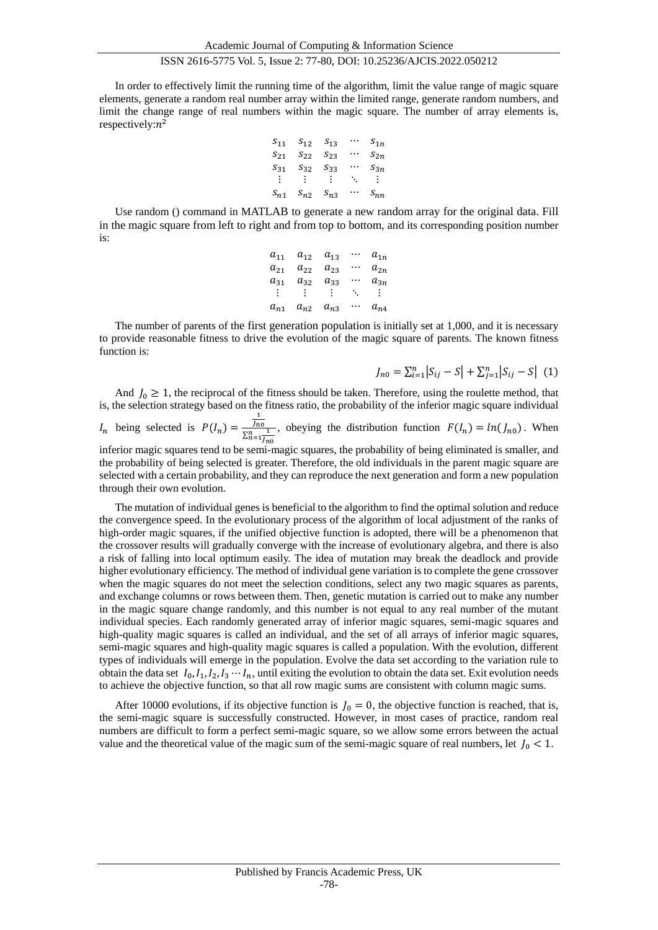## ISSN 2616-5775 Vol. 5, Issue 2: 77-80, DOI: 10.25236/AJCIS.2022.050212

In order to effectively limit the running time of the algorithm, limit the value range of magic square elements, generate a random real number array within the limited range, generate random numbers, and limit the change range of real numbers within the magic square. The number of array elements is, respectively: $n^2$ 

$$
S_{11} \t S_{12} \t S_{13} \t \cdots \t S_{1n}
$$
\n
$$
S_{21} \t S_{22} \t S_{23} \t \cdots \t S_{2n}
$$
\n
$$
S_{31} \t S_{32} \t S_{33} \t \cdots \t S_{3n}
$$
\n
$$
\vdots \t \vdots \t \vdots \t \ddots \t \vdots
$$
\n
$$
S_{n1} \t S_{n2} \t S_{n3} \t \cdots \t S_{nn}
$$

Use random () command in MATLAB to generate a new random array for the original data. Fill in the magic square from left to right and from top to bottom, and its corresponding position number is:

| $a_{11}$ | $a_{12}$ | $a_{13}$ |    | $a_{1n}$ |
|----------|----------|----------|----|----------|
| $a_{21}$ | $a_{22}$ | $a_{23}$ |    | $a_{2n}$ |
| $a_{31}$ | $a_{32}$ | $a_{33}$ |    | $a_{3n}$ |
|          |          |          | ٠. | ÷.       |
| $a_{n1}$ | $a_{n2}$ | $a_{n3}$ |    | $a_{n4}$ |

The number of parents of the first generation population is initially set at 1,000, and it is necessary to provide reasonable fitness to drive the evolution of the magic square of parents. The known fitness function is:

$$
J_{n0} = \sum_{i=1}^{n} |S_{ij} - S| + \sum_{j=1}^{n} |S_{ij} - S| \tag{1}
$$

And  $J_0 \ge 1$ , the reciprocal of the fitness should be taken. Therefore, using the roulette method, that is, the selection strategy based on the fitness ratio, the probability of the inferior magic square individual  $I_n$  being selected is  $P(I_n) =$  $\frac{1}{\ln 0}$  $rac{f_{n0}}{\sum_{n=1}^{n} f_{n0}}$ , obeying the distribution function  $F(I_n) = ln(I_{n0})$ . When

inferior magic squares tend to be semi-magic squares, the probability of being eliminated is smaller, and the probability of being selected is greater. Therefore, the old individuals in the parent magic square are selected with a certain probability, and they can reproduce the next generation and form a new population through their own evolution.

The mutation of individual genes is beneficial to the algorithm to find the optimal solution and reduce the convergence speed. In the evolutionary process of the algorithm of local adjustment of the ranks of high-order magic squares, if the unified objective function is adopted, there will be a phenomenon that the crossover results will gradually converge with the increase of evolutionary algebra, and there is also a risk of falling into local optimum easily. The idea of mutation may break the deadlock and provide higher evolutionary efficiency. The method of individual gene variation is to complete the gene crossover when the magic squares do not meet the selection conditions, select any two magic squares as parents, and exchange columns or rows between them. Then, genetic mutation is carried out to make any number in the magic square change randomly, and this number is not equal to any real number of the mutant individual species. Each randomly generated array of inferior magic squares, semi-magic squares and high-quality magic squares is called an individual, and the set of all arrays of inferior magic squares, semi-magic squares and high-quality magic squares is called a population. With the evolution, different types of individuals will emerge in the population. Evolve the data set according to the variation rule to obtain the data set  $I_0, I_1, I_2, I_3 \cdots I_n$ , until exiting the evolution to obtain the data set. Exit evolution needs to achieve the objective function, so that all row magic sums are consistent with column magic sums.

After 10000 evolutions, if its objective function is  $J_0 = 0$ , the objective function is reached, that is, the semi-magic square is successfully constructed. However, in most cases of practice, random real numbers are difficult to form a perfect semi-magic square, so we allow some errors between the actual value and the theoretical value of the magic sum of the semi-magic square of real numbers, let  $J_0 < 1$ .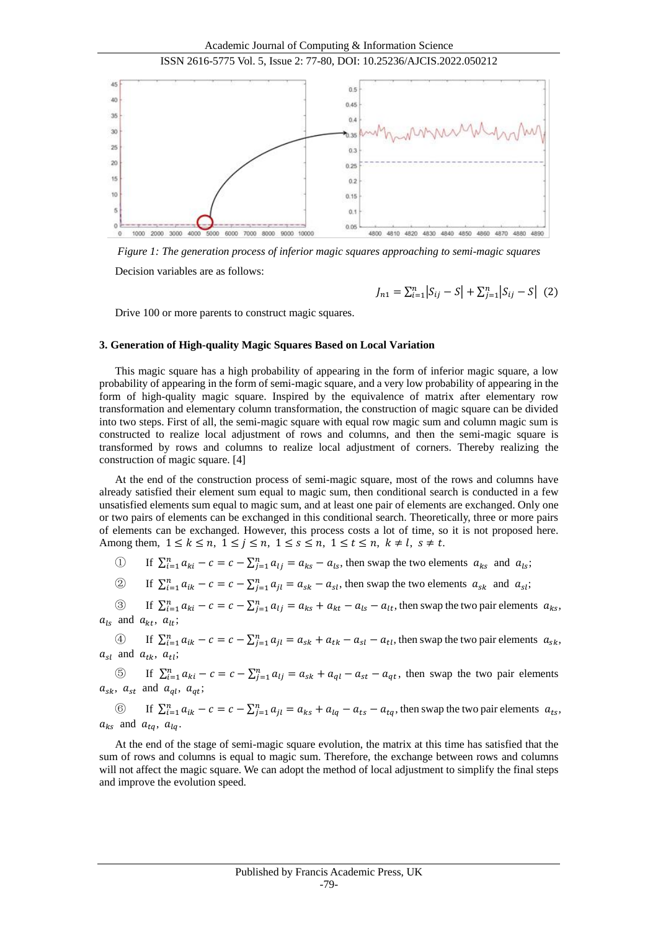



*Figure 1: The generation process of inferior magic squares approaching to semi-magic squares*

Decision variables are as follows:

$$
J_{n1} = \sum_{i=1}^{n} |S_{ij} - S| + \sum_{j=1}^{n} |S_{ij} - S| \tag{2}
$$

Drive 100 or more parents to construct magic squares.

#### **3. Generation of High-quality Magic Squares Based on Local Variation**

This magic square has a high probability of appearing in the form of inferior magic square, a low probability of appearing in the form of semi-magic square, and a very low probability of appearing in the form of high-quality magic square. Inspired by the equivalence of matrix after elementary row transformation and elementary column transformation, the construction of magic square can be divided into two steps. First of all, the semi-magic square with equal row magic sum and column magic sum is constructed to realize local adjustment of rows and columns, and then the semi-magic square is transformed by rows and columns to realize local adjustment of corners. Thereby realizing the construction of magic square. [4]

At the end of the construction process of semi-magic square, most of the rows and columns have already satisfied their element sum equal to magic sum, then conditional search is conducted in a few unsatisfied elements sum equal to magic sum, and at least one pair of elements are exchanged. Only one or two pairs of elements can be exchanged in this conditional search. Theoretically, three or more pairs of elements can be exchanged. However, this process costs a lot of time, so it is not proposed here. Among them,  $1 \leq k \leq n$ ,  $1 \leq j \leq n$ ,  $1 \leq s \leq n$ ,  $1 \leq t \leq n$ ,  $k \neq l$ ,  $s \neq t$ .

- ① If  $\sum_{i=1}^{n} a_{ki} c = c \sum_{j=1}^{n} a_{lj} = a_{ks} a_{ls}$ , then swap the two elements  $a_{ks}$  and  $a_{ls}$ ;
- $\textcircled{2}$  If  $\sum_{i=1}^{n} a_{ik} c = c \sum_{j=1}^{n} a_{jl} = a_{sk} a_{sl}$ , then swap the two elements  $a_{sk}$  and  $a_{sl}$ ;

 $\textcircled{3}$  If  $\sum_{i=1}^{n} a_{ki} - c = c - \sum_{j=1}^{n} a_{lj} = a_{ks} + a_{kt} - a_{ls} - a_{lt}$ , then swap the two pair elements  $a_{ks}$ ,  $a_{ls}$  and  $a_{kt}$ ,  $a_{lt}$ ;

 $\textcircled{4}$  If  $\sum_{i=1}^{n} a_{ik} - c = c - \sum_{j=1}^{n} a_{jl} = a_{sk} + a_{tk} - a_{sl} - a_{tl}$ , then swap the two pair elements  $a_{sk}$ ,  $a_{sl}$  and  $a_{tk}$ ,  $a_{tl}$ ;

**S** If  $\sum_{i=1}^{n} a_{ki} - c = c - \sum_{j=1}^{n} a_{lj} = a_{sk} + a_{ql} - a_{st} - a_{qt}$ , then swap the two pair elements  $a_{sk}$ ,  $a_{st}$  and  $a_{ql}$ ,  $a_{qt}$ ;

6 If  $\sum_{i=1}^{n} a_{ik} - c = c - \sum_{j=1}^{n} a_{jl} = a_{ks} + a_{lq} - a_{ts} - a_{tq}$ , then swap the two pair elements  $a_{ts}$ ,  $a_{ks}$  and  $a_{ta}$ ,  $a_{la}$ 

At the end of the stage of semi-magic square evolution, the matrix at this time has satisfied that the sum of rows and columns is equal to magic sum. Therefore, the exchange between rows and columns will not affect the magic square. We can adopt the method of local adjustment to simplify the final steps and improve the evolution speed.